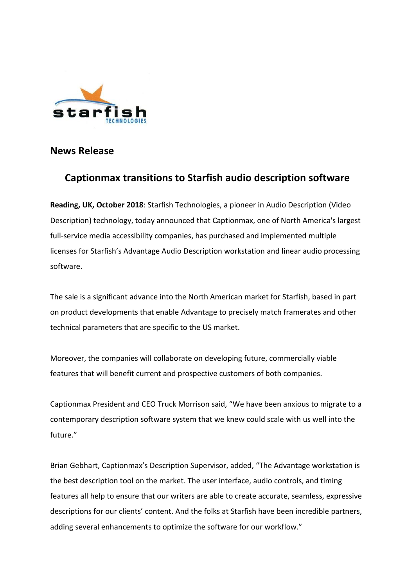

## **News Release**

## **Captionmax transitions to Starfish audio description software**

**Reading, UK, October 2018**: Starfish Technologies, a pioneer in Audio Description (Video Description) technology, today announced that Captionmax, one of North America's largest full-service media accessibility companies, has purchased and implemented multiple licenses for Starfish's Advantage Audio Description workstation and linear audio processing software.

The sale is a significant advance into the North American market for Starfish, based in part on product developments that enable Advantage to precisely match framerates and other technical parameters that are specific to the US market.

Moreover, the companies will collaborate on developing future, commercially viable features that will benefit current and prospective customers of both companies.

Captionmax President and CEO Truck Morrison said, "We have been anxious to migrate to a contemporary description software system that we knew could scale with us well into the future."

Brian Gebhart, Captionmax's Description Supervisor, added, "The Advantage workstation is the best description tool on the market. The user interface, audio controls, and timing features all help to ensure that our writers are able to create accurate, seamless, expressive descriptions for our clients' content. And the folks at Starfish have been incredible partners, adding several enhancements to optimize the software for our workflow."